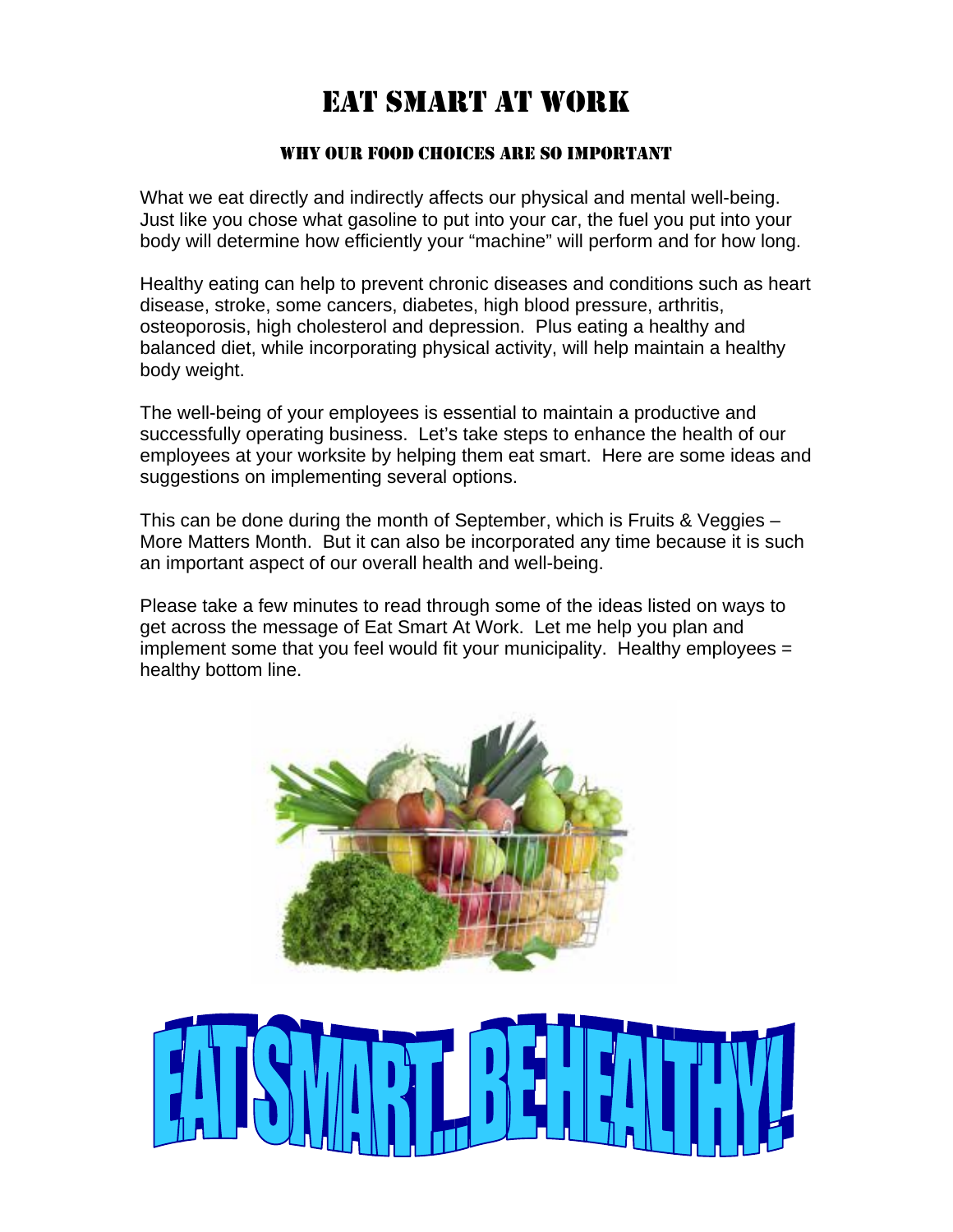# EAT SMART AT WORK

#### WHY OUR FOOD CHOICES ARE SO IMPORTANT

What we eat directly and indirectly affects our physical and mental well-being. Just like you chose what gasoline to put into your car, the fuel you put into your body will determine how efficiently your "machine" will perform and for how long.

Healthy eating can help to prevent chronic diseases and conditions such as heart disease, stroke, some cancers, diabetes, high blood pressure, arthritis, osteoporosis, high cholesterol and depression. Plus eating a healthy and balanced diet, while incorporating physical activity, will help maintain a healthy body weight.

The well-being of your employees is essential to maintain a productive and successfully operating business. Let's take steps to enhance the health of our employees at your worksite by helping them eat smart. Here are some ideas and suggestions on implementing several options.

This can be done during the month of September, which is Fruits & Veggies – More Matters Month. But it can also be incorporated any time because it is such an important aspect of our overall health and well-being.

Please take a few minutes to read through some of the ideas listed on ways to get across the message of Eat Smart At Work. Let me help you plan and implement some that you feel would fit your municipality. Healthy employees = healthy bottom line.



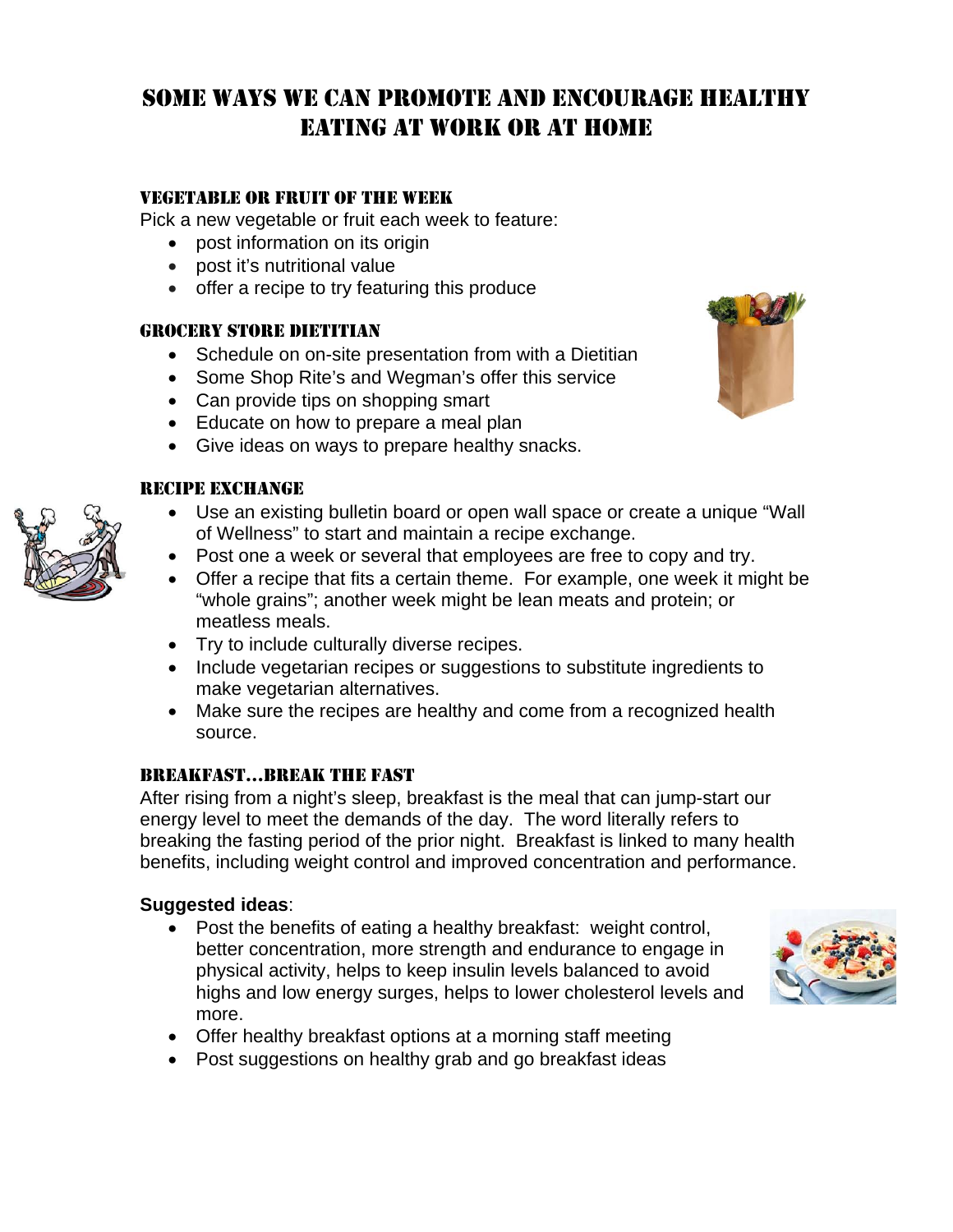## VEGETABLE OR FRUIT OF THE WEEK

Pick a new vegetable or fruit each week to feature:

- post information on its origin
- post it's nutritional value
- offer a recipe to try featuring this produce

#### GROCERY STORE DIETITIAN

- Schedule on on-site presentation from with a Dietitian
- Some Shop Rite's and Wegman's offer this service
- Can provide tips on shopping smart
- Educate on how to prepare a meal plan
- Give ideas on ways to prepare healthy snacks.

#### RECIPE EXCHANGE

- Use an existing bulletin board or open wall space or create a unique "Wall of Wellness" to start and maintain a recipe exchange.
- Post one a week or several that employees are free to copy and try.
- Offer a recipe that fits a certain theme. For example, one week it might be "whole grains"; another week might be lean meats and protein; or meatless meals.
- Try to include culturally diverse recipes.
- Include vegetarian recipes or suggestions to substitute ingredients to make vegetarian alternatives.
- Make sure the recipes are healthy and come from a recognized health source.

### BREAKFAST…BREAK THE FAST

After rising from a night's sleep, breakfast is the meal that can jump-start our energy level to meet the demands of the day. The word literally refers to breaking the fasting period of the prior night. Breakfast is linked to many health benefits, including weight control and improved concentration and performance.

### **Suggested ideas**:

 Post the benefits of eating a healthy breakfast: weight control, better concentration, more strength and endurance to engage in physical activity, helps to keep insulin levels balanced to avoid highs and low energy surges, helps to lower cholesterol levels and more.



- Offer healthy breakfast options at a morning staff meeting
- Post suggestions on healthy grab and go breakfast ideas



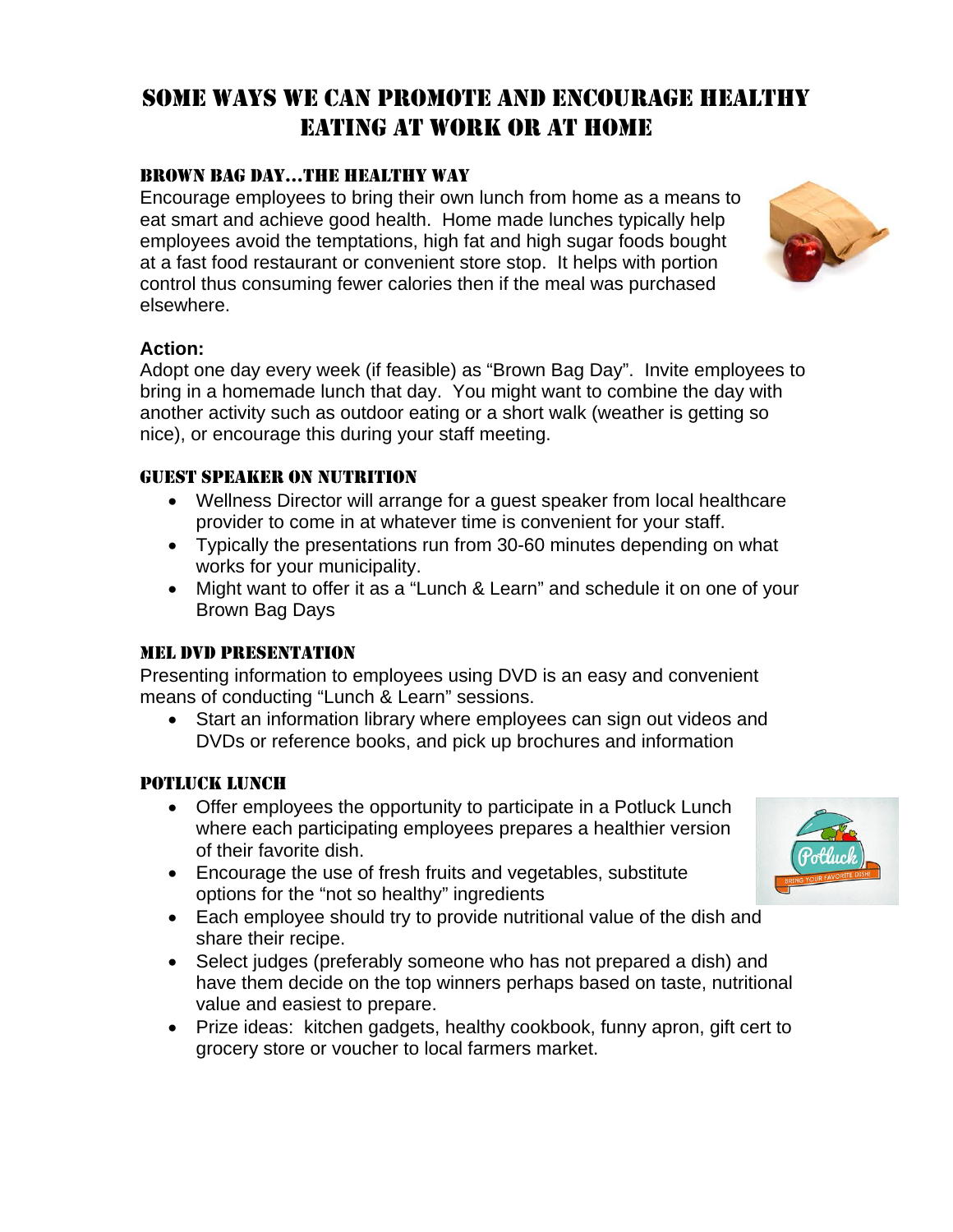## BROWN BAG DAY…THE HEALTHY WAY

Encourage employees to bring their own lunch from home as a means to eat smart and achieve good health. Home made lunches typically help employees avoid the temptations, high fat and high sugar foods bought at a fast food restaurant or convenient store stop. It helps with portion control thus consuming fewer calories then if the meal was purchased elsewhere.



#### **Action:**

Adopt one day every week (if feasible) as "Brown Bag Day". Invite employees to bring in a homemade lunch that day. You might want to combine the day with another activity such as outdoor eating or a short walk (weather is getting so nice), or encourage this during your staff meeting.

#### GUEST SPEAKER ON NUTRITION

- Wellness Director will arrange for a guest speaker from local healthcare provider to come in at whatever time is convenient for your staff.
- Typically the presentations run from 30-60 minutes depending on what works for your municipality.
- Might want to offer it as a "Lunch & Learn" and schedule it on one of your Brown Bag Days

#### MEL DVD PRESENTATION

Presenting information to employees using DVD is an easy and convenient means of conducting "Lunch & Learn" sessions.

 Start an information library where employees can sign out videos and DVDs or reference books, and pick up brochures and information

#### POTLUCK LUNCH

- Offer employees the opportunity to participate in a Potluck Lunch where each participating employees prepares a healthier version of their favorite dish.
- Encourage the use of fresh fruits and vegetables, substitute options for the "not so healthy" ingredients
- Each employee should try to provide nutritional value of the dish and share their recipe.
- Select judges (preferably someone who has not prepared a dish) and have them decide on the top winners perhaps based on taste, nutritional value and easiest to prepare.
- Prize ideas: kitchen gadgets, healthy cookbook, funny apron, gift cert to grocery store or voucher to local farmers market.

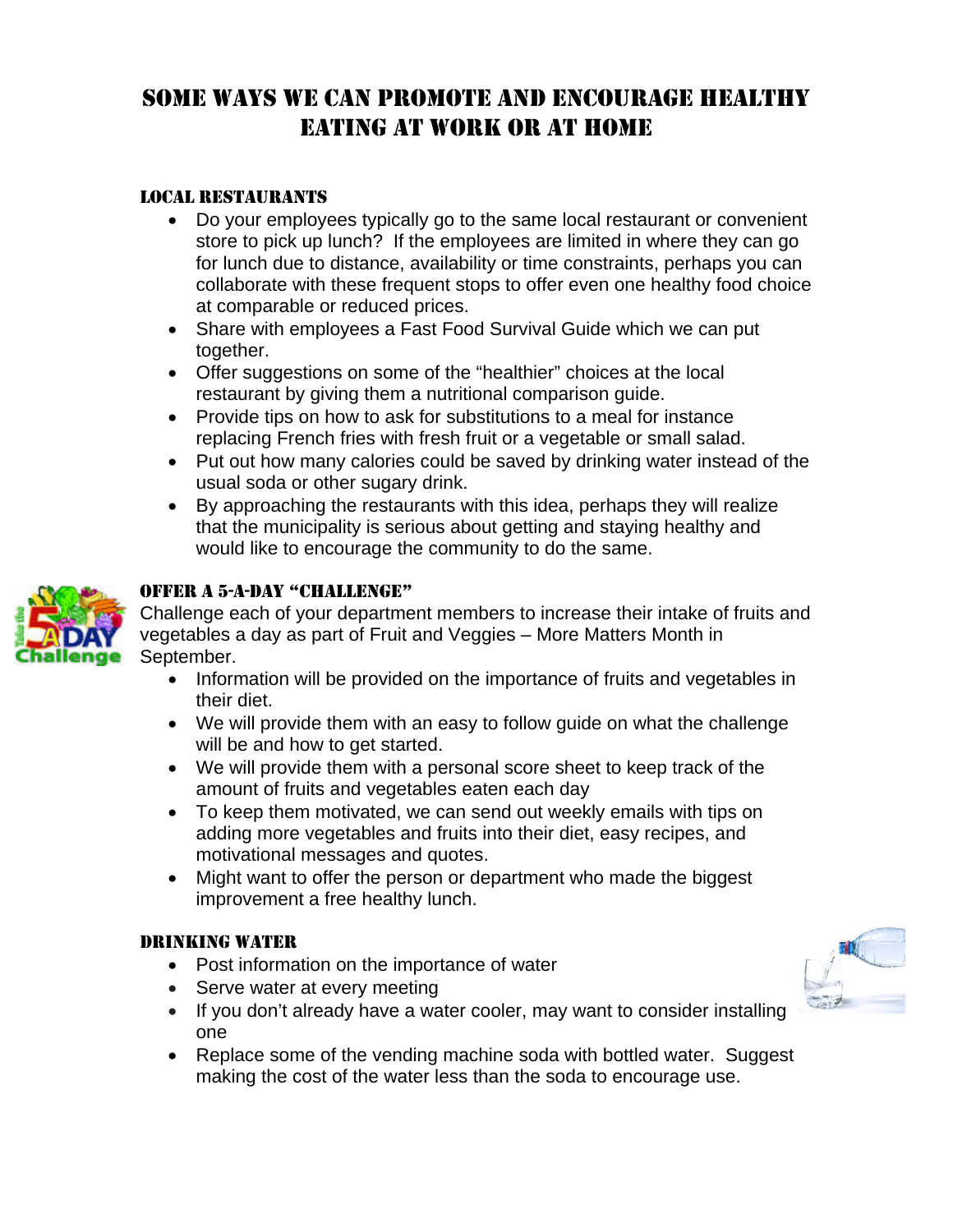#### LOCAL RESTAURANTS

- Do your employees typically go to the same local restaurant or convenient store to pick up lunch? If the employees are limited in where they can go for lunch due to distance, availability or time constraints, perhaps you can collaborate with these frequent stops to offer even one healthy food choice at comparable or reduced prices.
- Share with employees a Fast Food Survival Guide which we can put together.
- Offer suggestions on some of the "healthier" choices at the local restaurant by giving them a nutritional comparison guide.
- Provide tips on how to ask for substitutions to a meal for instance replacing French fries with fresh fruit or a vegetable or small salad.
- Put out how many calories could be saved by drinking water instead of the usual soda or other sugary drink.
- By approaching the restaurants with this idea, perhaps they will realize that the municipality is serious about getting and staying healthy and would like to encourage the community to do the same.



### OFFER A 5-A-DAY "CHALLENGE"

Challenge each of your department members to increase their intake of fruits and vegetables a day as part of Fruit and Veggies – More Matters Month in September.

- Information will be provided on the importance of fruits and vegetables in their diet.
- We will provide them with an easy to follow guide on what the challenge will be and how to get started.
- We will provide them with a personal score sheet to keep track of the amount of fruits and vegetables eaten each day
- To keep them motivated, we can send out weekly emails with tips on adding more vegetables and fruits into their diet, easy recipes, and motivational messages and quotes.
- Might want to offer the person or department who made the biggest improvement a free healthy lunch.

#### DRINKING WATER

- Post information on the importance of water
- Serve water at every meeting
- If you don't already have a water cooler, may want to consider installing one
- Replace some of the vending machine soda with bottled water. Suggest making the cost of the water less than the soda to encourage use.